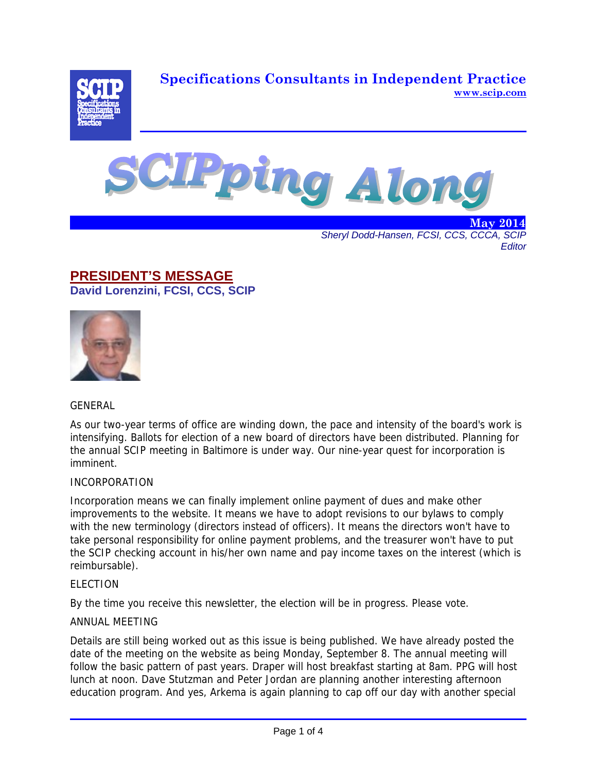**Specifications Consultants in Independent Practice www.scip.com**





. The contract of the contract of the contract of the contract of the contract of  $\rm{May}\ 2014$ *Sheryl Dodd-Hansen, FCSI, CCS, CCCA, SCIP Editor* 

## **PRESIDENT'S MESSAGE David Lorenzini, FCSI, CCS, SCIP**



## GENERAL

As our two-year terms of office are winding down, the pace and intensity of the board's work is intensifying. Ballots for election of a new board of directors have been distributed. Planning for the annual SCIP meeting in Baltimore is under way. Our nine-year quest for incorporation is imminent.

## INCORPORATION

Incorporation means we can finally implement online payment of dues and make other improvements to the website. It means we have to adopt revisions to our bylaws to comply with the new terminology (directors instead of officers). It means the directors won't have to take personal responsibility for online payment problems, and the treasurer won't have to put the SCIP checking account in his/her own name and pay income taxes on the interest (which is reimbursable).

## ELECTION

By the time you receive this newsletter, the election will be in progress. Please vote.

## ANNUAL MEETING

Details are still being worked out as this issue is being published. We have already posted the date of the meeting on the website as being Monday, September 8. The annual meeting will follow the basic pattern of past years. Draper will host breakfast starting at 8am. PPG will host lunch at noon. Dave Stutzman and Peter Jordan are planning another interesting afternoon education program. And yes, Arkema is again planning to cap off our day with another special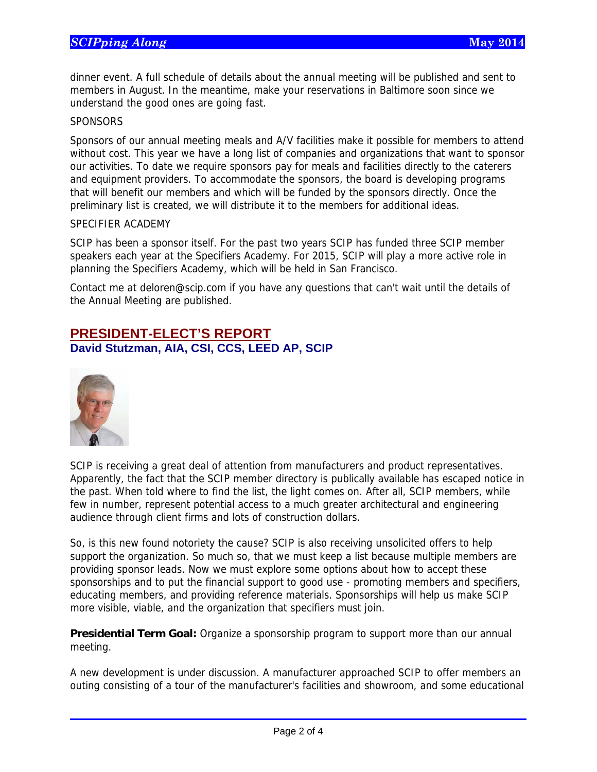dinner event. A full schedule of details about the annual meeting will be published and sent to members in August. In the meantime, make your reservations in Baltimore soon since we understand the good ones are going fast.

### **SPONSORS**

Sponsors of our annual meeting meals and A/V facilities make it possible for members to attend without cost. This year we have a long list of companies and organizations that want to sponsor our activities. To date we require sponsors pay for meals and facilities directly to the caterers and equipment providers. To accommodate the sponsors, the board is developing programs that will benefit our members and which will be funded by the sponsors directly. Once the preliminary list is created, we will distribute it to the members for additional ideas.

### SPECIFIER ACADEMY

SCIP has been a sponsor itself. For the past two years SCIP has funded three SCIP member speakers each year at the Specifiers Academy. For 2015, SCIP will play a more active role in planning the Specifiers Academy, which will be held in San Francisco.

Contact me at deloren@scip.com if you have any questions that can't wait until the details of the Annual Meeting are published.

## **PRESIDENT-ELECT'S REPORT David Stutzman, AIA, CSI, CCS, LEED AP, SCIP**



 $\overline{a}$ 

SCIP is receiving a great deal of attention from manufacturers and product representatives. Apparently, the fact that the SCIP member directory is publically available has escaped notice in the past. When told where to find the list, the light comes on. After all, SCIP members, while few in number, represent potential access to a much greater architectural and engineering audience through client firms and lots of construction dollars.

So, is this new found notoriety the cause? SCIP is also receiving unsolicited offers to help support the organization. So much so, that we must keep a list because multiple members are providing sponsor leads. Now we must explore some options about how to accept these sponsorships and to put the financial support to good use - promoting members and specifiers, educating members, and providing reference materials. Sponsorships will help us make SCIP more visible, viable, and the organization that specifiers must join.

**Presidential Term Goal:** Organize a sponsorship program to support more than our annual meeting.

A new development is under discussion. A manufacturer approached SCIP to offer members an outing consisting of a tour of the manufacturer's facilities and showroom, and some educational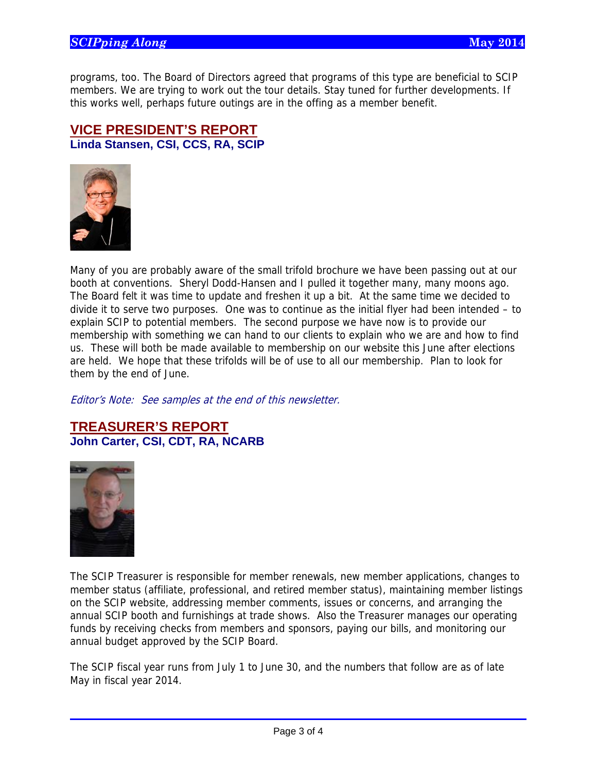programs, too. The Board of Directors agreed that programs of this type are beneficial to SCIP members. We are trying to work out the tour details. Stay tuned for further developments. If this works well, perhaps future outings are in the offing as a member benefit.

## **VICE PRESIDENT'S REPORT Linda Stansen, CSI, CCS, RA, SCIP**



Many of you are probably aware of the small trifold brochure we have been passing out at our booth at conventions. Sheryl Dodd-Hansen and I pulled it together many, many moons ago. The Board felt it was time to update and freshen it up a bit. At the same time we decided to divide it to serve two purposes. One was to continue as the initial flyer had been intended – to explain SCIP to potential members. The second purpose we have now is to provide our membership with something we can hand to our clients to explain who we are and how to find us. These will both be made available to membership on our website this June after elections are held. We hope that these trifolds will be of use to all our membership. Plan to look for them by the end of June.

Editor's Note: See samples at the end of this newsletter.

## **TREASURER'S REPORT John Carter, CSI, CDT, RA, NCARB**



 $\overline{a}$ 

The SCIP Treasurer is responsible for member renewals, new member applications, changes to member status (affiliate, professional, and retired member status), maintaining member listings on the SCIP website, addressing member comments, issues or concerns, and arranging the annual SCIP booth and furnishings at trade shows. Also the Treasurer manages our operating funds by receiving checks from members and sponsors, paying our bills, and monitoring our annual budget approved by the SCIP Board.

The SCIP fiscal year runs from July 1 to June 30, and the numbers that follow are as of late May in fiscal year 2014.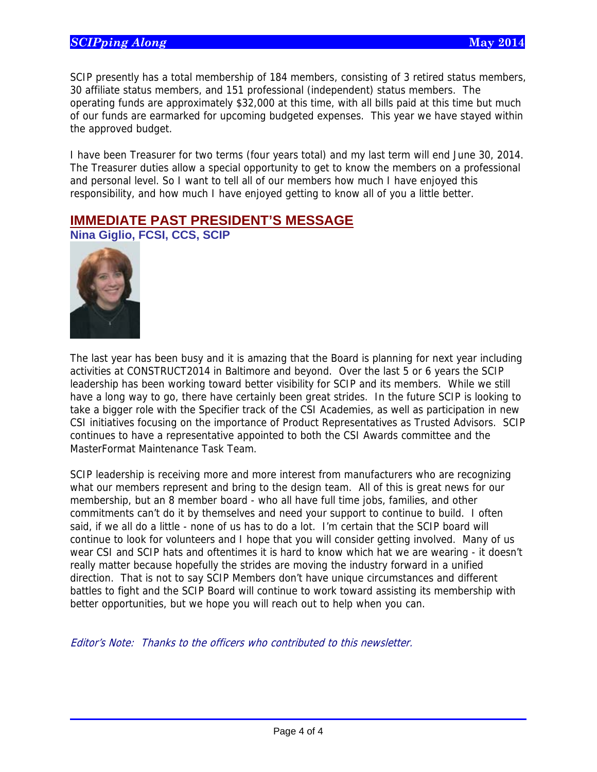SCIP presently has a total membership of 184 members, consisting of 3 retired status members, 30 affiliate status members, and 151 professional (independent) status members. The operating funds are approximately \$32,000 at this time, with all bills paid at this time but much of our funds are earmarked for upcoming budgeted expenses. This year we have stayed within the approved budget.

I have been Treasurer for two terms (four years total) and my last term will end June 30, 2014. The Treasurer duties allow a special opportunity to get to know the members on a professional and personal level. So I want to tell all of our members how much I have enjoyed this responsibility, and how much I have enjoyed getting to know all of you a little better.

## **IMMEDIATE PAST PRESIDENT'S MESSAGE**

**Nina Giglio, FCSI, CCS, SCIP** 



 $\overline{a}$ 

The last year has been busy and it is amazing that the Board is planning for next year including activities at CONSTRUCT2014 in Baltimore and beyond. Over the last 5 or 6 years the SCIP leadership has been working toward better visibility for SCIP and its members. While we still have a long way to go, there have certainly been great strides. In the future SCIP is looking to take a bigger role with the Specifier track of the CSI Academies, as well as participation in new CSI initiatives focusing on the importance of Product Representatives as Trusted Advisors. SCIP continues to have a representative appointed to both the CSI Awards committee and the MasterFormat Maintenance Task Team.

SCIP leadership is receiving more and more interest from manufacturers who are recognizing what our members represent and bring to the design team. All of this is great news for our membership, but an 8 member board - who all have full time jobs, families, and other commitments can't do it by themselves and need your support to continue to build. I often said, if we all do a little - none of us has to do a lot. I'm certain that the SCIP board will continue to look for volunteers and I hope that you will consider getting involved. Many of us wear CSI and SCIP hats and oftentimes it is hard to know which hat we are wearing - it doesn't really matter because hopefully the strides are moving the industry forward in a unified direction. That is not to say SCIP Members don't have unique circumstances and different battles to fight and the SCIP Board will continue to work toward assisting its membership with better opportunities, but we hope you will reach out to help when you can.

Editor's Note: Thanks to the officers who contributed to this newsletter.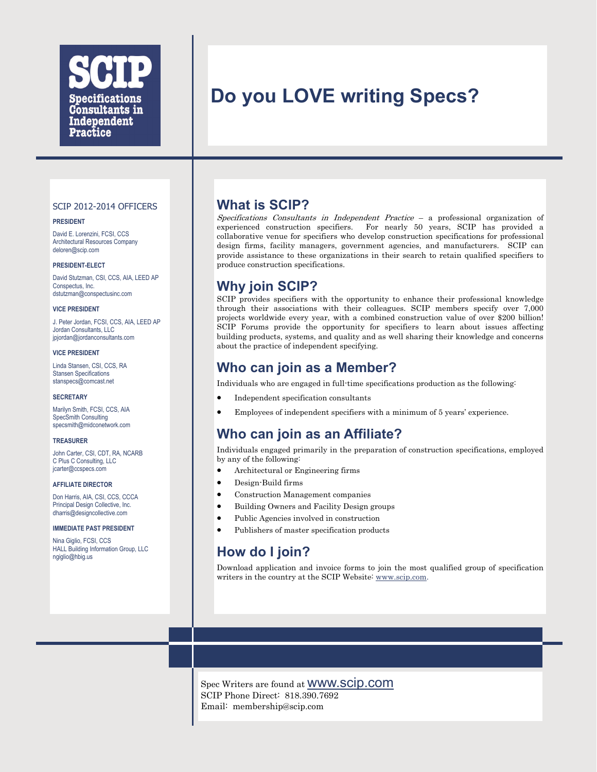

# **Do you LOVE writing Specs?**

#### SCIP 2012-2014 OFFICERS

#### **PRESIDENT**

David E. Lorenzini, FCSI, CCS Architectural Resources Company deloren@scip.com

#### **PRESIDENT-ELECT**

David Stutzman, CSI, CCS, AIA, LEED AP Conspectus, Inc. dstutzman@conspectusinc.com

#### **VICE PRESIDENT**

J. Peter Jordan, FCSI, CCS, AIA, LEED AP Jordan Consultants, LLC jpjordan@jordanconsultants.com

#### **VICE PRESIDENT**

Linda Stansen, CSI, CCS, RA Stansen Specifications stanspecs@comcast.net

#### **SECRETARY**

Marilyn Smith, FCSI, CCS, AIA SpecSmith Consulting specsmith@midconetwork.com

#### **TREASURER**

John Carter, CSI, CDT, RA, NCARB C Plus C Consulting, LLC jcarter@ccspecs.com

#### **AFFILIATE DIRECTOR**

Don Harris, AIA, CSI, CCS, CCCA Principal Design Collective, Inc. dharris@designcollective.com

#### **IMMEDIATE PAST PRESIDENT**

Nina Giglio, FCSI, CCS HALL Building Information Group, LLC ngiglio@hbig.us

## **What is SCIP?**

Specifications Consultants in Independent Practice – a professional organization of experienced construction specifiers. For nearly 50 years, SCIP has provided a collaborative venue for specifiers who develop construction specifications for professional design firms, facility managers, government agencies, and manufacturers. SCIP can provide assistance to these organizations in their search to retain qualified specifiers to produce construction specifications.

## **Why join SCIP?**

SCIP provides specifiers with the opportunity to enhance their professional knowledge through their associations with their colleagues. SCIP members specify over 7,000 projects worldwide every year, with a combined construction value of over \$200 billion! SCIP Forums provide the opportunity for specifiers to learn about issues affecting building products, systems, and quality and as well sharing their knowledge and concerns about the practice of independent specifying.

## **Who can join as a Member?**

Individuals who are engaged in full-time specifications production as the following:

- Independent specification consultants
- Employees of independent specifiers with a minimum of 5 years' experience.

## **Who can join as an Affiliate?**

Individuals engaged primarily in the preparation of construction specifications, employed by any of the following:

- Architectural or Engineering firms
- Design-Build firms
- Construction Management companies
- Building Owners and Facility Design groups
- Public Agencies involved in construction
- Publishers of master specification products

# **How do I join?**

Download application and invoice forms to join the most qualified group of specification writers in the country at the SCIP Website: [www.scip.com.](http://www.scip.com)

Spec Writers are found at www.scip.com SCIP Phone Direct: 818.390.7692 Email: membership@scip.com